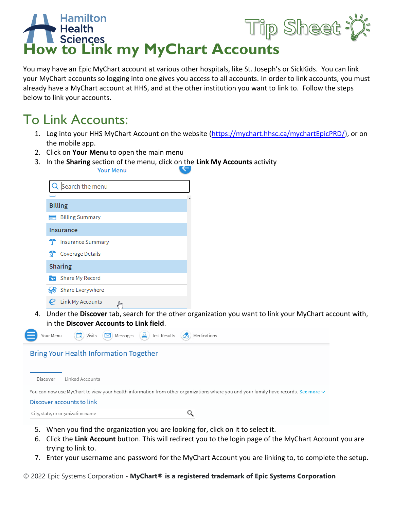

You may have an Epic MyChart account at various other hospitals, like St. Joseph's or SickKids. You can link your MyChart accounts so logging into one gives you access to all accounts. In order to link accounts, you must already have a MyChart account at HHS, and at the other institution you want to link to. Follow the steps below to link your accounts.

## To Link Accounts:

- 1. Log into your HHS MyChart Account on the website [\(https://mychart.hhsc.ca/mychartEpicPRD/\)](https://mychart.hhsc.ca/mychartEpicPRD/), or on the mobile app.
- 2. Click on **Your Menu** to open the main menu
- 3. In the **Sharing** section of the menu, click on the **Link My Accounts** activity

|             | <b>Your Menu</b>              |
|-------------|-------------------------------|
|             | Search the menu               |
|             |                               |
|             | <b>Billing</b>                |
|             | <b>Billing Summary</b>        |
|             | Insurance                     |
|             | <b>Insurance Summary</b>      |
| <b>Alla</b> | <b>Coverage Details</b>       |
|             | <b>Sharing</b>                |
|             | <b>Burger</b> Share My Record |
|             | <b>Share Everywhere</b>       |
|             | $Q$ Link My Accounts          |

4. Under the **Discover** tab, search for the other organization you want to link your MyChart account with, in the **Discover Accounts to Link field**.



- 5. When you find the organization you are looking for, click on it to select it.
- 6. Click the **Link Account** button. This will redirect you to the login page of the MyChart Account you are trying to link to.
- 7. Enter your username and password for the MyChart Account you are linking to, to complete the setup.

© 2022 Epic Systems Corporation - **MyChart® is a registered trademark of Epic Systems Corporation**